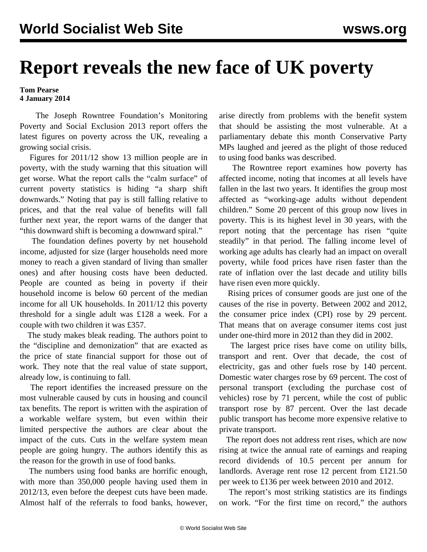## **Report reveals the new face of UK poverty**

## **Tom Pearse 4 January 2014**

 The Joseph Rowntree Foundation's Monitoring Poverty and Social Exclusion 2013 report offers the latest figures on poverty across the UK, revealing a growing social crisis.

 Figures for 2011/12 show 13 million people are in poverty, with the study warning that this situation will get worse. What the report calls the "calm surface" of current poverty statistics is hiding "a sharp shift downwards." Noting that pay is still falling relative to prices, and that the real value of benefits will fall further next year, the report warns of the danger that "this downward shift is becoming a downward spiral."

 The foundation defines poverty by net household income, adjusted for size (larger households need more money to reach a given standard of living than smaller ones) and after housing costs have been deducted. People are counted as being in poverty if their household income is below 60 percent of the median income for all UK households. In 2011/12 this poverty threshold for a single adult was £128 a week. For a couple with two children it was £357.

 The study makes bleak reading. The authors point to the "discipline and demonization" that are exacted as the price of state financial support for those out of work. They note that the real value of state support, already low, is continuing to fall.

 The report identifies the increased pressure on the most vulnerable caused by cuts in housing and council tax benefits. The report is written with the aspiration of a workable welfare system, but even within their limited perspective the authors are clear about the impact of the cuts. Cuts in the welfare system mean people are going hungry. The authors identify this as the reason for the growth in use of food banks.

 The numbers using food banks are horrific enough, with more than 350,000 people having used them in 2012/13, even before the deepest cuts have been made. Almost half of the referrals to food banks, however, arise directly from problems with the benefit system that should be assisting the most vulnerable. At a parliamentary debate this month Conservative Party MPs laughed and jeered as the plight of those reduced to using food banks was described.

 The Rowntree report examines how poverty has affected income, noting that incomes at all levels have fallen in the last two years. It identifies the group most affected as "working-age adults without dependent children." Some 20 percent of this group now lives in poverty. This is its highest level in 30 years, with the report noting that the percentage has risen "quite steadily" in that period. The falling income level of working age adults has clearly had an impact on overall poverty, while food prices have risen faster than the rate of inflation over the last decade and utility bills have risen even more quickly.

 Rising prices of consumer goods are just one of the causes of the rise in poverty. Between 2002 and 2012, the consumer price index (CPI) rose by 29 percent. That means that on average consumer items cost just under one-third more in 2012 than they did in 2002.

 The largest price rises have come on utility bills, transport and rent. Over that decade, the cost of electricity, gas and other fuels rose by 140 percent. Domestic water charges rose by 69 percent. The cost of personal transport (excluding the purchase cost of vehicles) rose by 71 percent, while the cost of public transport rose by 87 percent. Over the last decade public transport has become more expensive relative to private transport.

 The report does not address rent rises, which are now rising at twice the annual rate of earnings and reaping record dividends of 10.5 percent per annum for landlords. Average rent rose 12 percent from £121.50 per week to £136 per week between 2010 and 2012.

 The report's most striking statistics are its findings on work. "For the first time on record," the authors